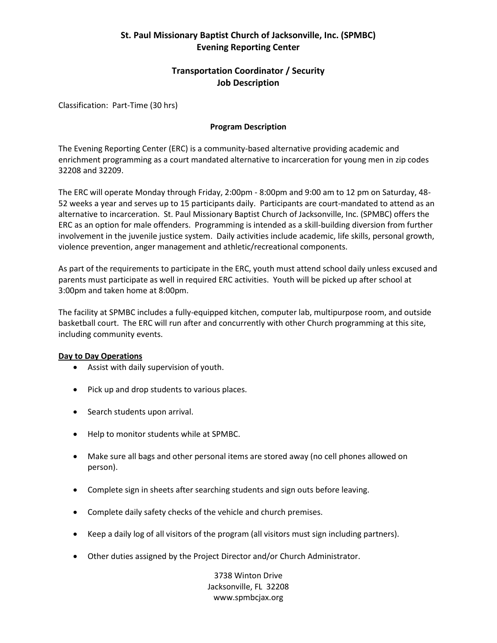# **St. Paul Missionary Baptist Church of Jacksonville, Inc. (SPMBC) Evening Reporting Center**

## **Transportation Coordinator / Security Job Description**

Classification: Part-Time (30 hrs)

### **Program Description**

The Evening Reporting Center (ERC) is a community-based alternative providing academic and enrichment programming as a court mandated alternative to incarceration for young men in zip codes 32208 and 32209.

The ERC will operate Monday through Friday, 2:00pm - 8:00pm and 9:00 am to 12 pm on Saturday, 48- 52 weeks a year and serves up to 15 participants daily. Participants are court-mandated to attend as an alternative to incarceration. St. Paul Missionary Baptist Church of Jacksonville, Inc. (SPMBC) offers the ERC as an option for male offenders. Programming is intended as a skill-building diversion from further involvement in the juvenile justice system. Daily activities include academic, life skills, personal growth, violence prevention, anger management and athletic/recreational components.

As part of the requirements to participate in the ERC, youth must attend school daily unless excused and parents must participate as well in required ERC activities. Youth will be picked up after school at 3:00pm and taken home at 8:00pm.

The facility at SPMBC includes a fully-equipped kitchen, computer lab, multipurpose room, and outside basketball court. The ERC will run after and concurrently with other Church programming at this site, including community events.

#### **Day to Day Operations**

- Assist with daily supervision of youth.
- Pick up and drop students to various places.
- Search students upon arrival.
- Help to monitor students while at SPMBC.
- Make sure all bags and other personal items are stored away (no cell phones allowed on person).
- Complete sign in sheets after searching students and sign outs before leaving.
- Complete daily safety checks of the vehicle and church premises.
- Keep a daily log of all visitors of the program (all visitors must sign including partners).
- Other duties assigned by the Project Director and/or Church Administrator.

3738 Winton Drive Jacksonville, FL 32208 www.spmbcjax.org